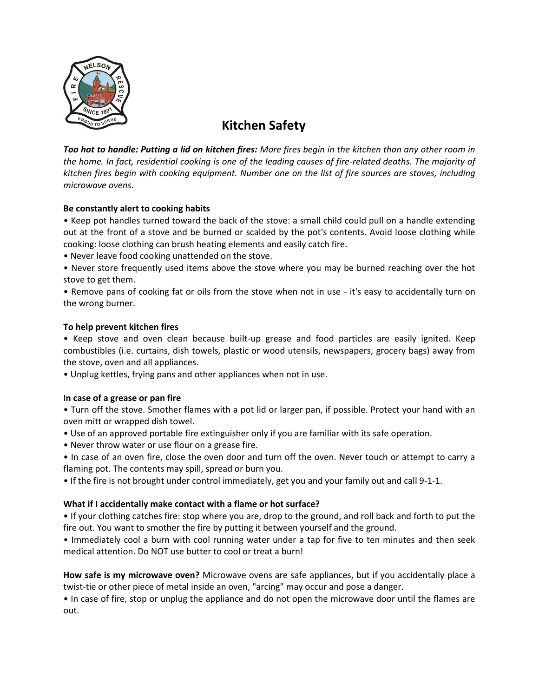

# **Kitchen Safety**

*Too hot to handle: Putting a lid on kitchen fires: More fires begin in the kitchen than any other room in the home. In fact, residential cooking is one of the leading causes of fire-related deaths. The majority of kitchen fires begin with cooking equipment. Number one on the list of fire sources are stoves, including microwave ovens.* 

# **Be constantly alert to cooking habits**

• Keep pot handles turned toward the back of the stove: a small child could pull on a handle extending out at the front of a stove and be burned or scalded by the pot's contents. Avoid loose clothing while cooking: loose clothing can brush heating elements and easily catch fire.

• Never leave food cooking unattended on the stove.

• Never store frequently used items above the stove where you may be burned reaching over the hot stove to get them.

• Remove pans of cooking fat or oils from the stove when not in use - it's easy to accidentally turn on the wrong burner.

## **To help prevent kitchen fires**

• Keep stove and oven clean because built-up grease and food particles are easily ignited. Keep combustibles (i.e. curtains, dish towels, plastic or wood utensils, newspapers, grocery bags) away from the stove, oven and all appliances.

• Unplug kettles, frying pans and other appliances when not in use.

## I**n case of a grease or pan fire**

• Turn off the stove. Smother flames with a pot lid or larger pan, if possible. Protect your hand with an oven mitt or wrapped dish towel.

• Use of an approved portable fire extinguisher only if you are familiar with its safe operation.

• Never throw water or use flour on a grease fire.

• In case of an oven fire, close the oven door and turn off the oven. Never touch or attempt to carry a flaming pot. The contents may spill, spread or burn you.

• If the fire is not brought under control immediately, get you and your family out and call 9-1-1.

# **What if I accidentally make contact with a flame or hot surface?**

• If your clothing catches fire: stop where you are, drop to the ground, and roll back and forth to put the fire out. You want to smother the fire by putting it between yourself and the ground.

• Immediately cool a burn with cool running water under a tap for five to ten minutes and then seek medical attention. Do NOT use butter to cool or treat a burn!

**How safe is my microwave oven?** Microwave ovens are safe appliances, but if you accidentally place a twist-tie or other piece of metal inside an oven, "arcing" may occur and pose a danger.

• In case of fire, stop or unplug the appliance and do not open the microwave door until the flames are out.